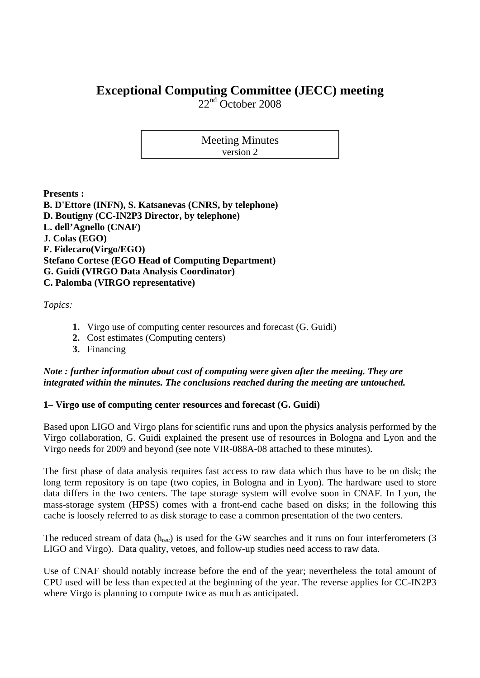# **Exceptional Computing Committee (JECC) meeting**

 $22<sup>nd</sup>$  October 2008

Meeting Minutes version 2

**Presents :** 

**B. D'Ettore (INFN), S. Katsanevas (CNRS, by telephone) D. Boutigny (CC-IN2P3 Director, by telephone) L. dell'Agnello (CNAF) J. Colas (EGO) F. Fidecaro(Virgo/EGO) Stefano Cortese (EGO Head of Computing Department) G. Guidi (VIRGO Data Analysis Coordinator) C. Palomba (VIRGO representative)** 

*Topics:* 

- **1.** Virgo use of computing center resources and forecast (G. Guidi)
- **2.** Cost estimates (Computing centers)
- **3.** Financing

## *Note : further information about cost of computing were given after the meeting. They are integrated within the minutes. The conclusions reached during the meeting are untouched.*

## **1– Virgo use of computing center resources and forecast (G. Guidi)**

Based upon LIGO and Virgo plans for scientific runs and upon the physics analysis performed by the Virgo collaboration, G. Guidi explained the present use of resources in Bologna and Lyon and the Virgo needs for 2009 and beyond (see note VIR-088A-08 attached to these minutes).

The first phase of data analysis requires fast access to raw data which thus have to be on disk; the long term repository is on tape (two copies, in Bologna and in Lyon). The hardware used to store data differs in the two centers. The tape storage system will evolve soon in CNAF. In Lyon, the mass-storage system (HPSS) comes with a front-end cache based on disks; in the following this cache is loosely referred to as disk storage to ease a common presentation of the two centers.

The reduced stream of data  $(h_{rec})$  is used for the GW searches and it runs on four interferometers (3) LIGO and Virgo). Data quality, vetoes, and follow-up studies need access to raw data.

Use of CNAF should notably increase before the end of the year; nevertheless the total amount of CPU used will be less than expected at the beginning of the year. The reverse applies for CC-IN2P3 where Virgo is planning to compute twice as much as anticipated.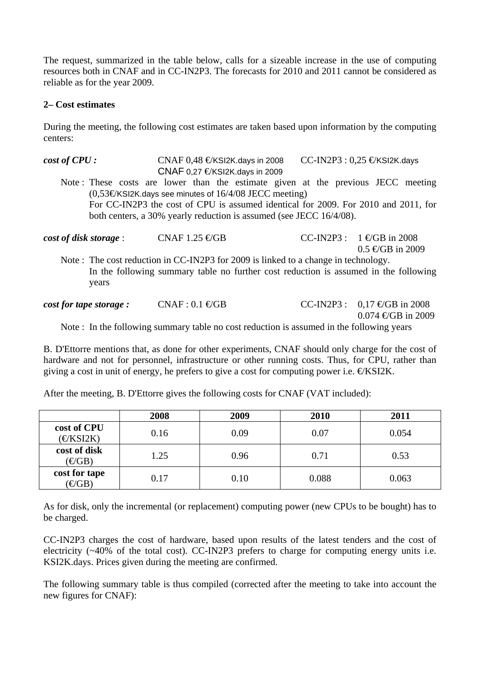The request, summarized in the table below, calls for a sizeable increase in the use of computing resources both in CNAF and in CC-IN2P3. The forecasts for 2010 and 2011 cannot be considered as reliable as for the year 2009.

### **2– Cost estimates**

During the meeting, the following cost estimates are taken based upon information by the computing centers:

*cost of CPU :* CNAF 0,48 €/KSI2K.days in 2008 CC-IN2P3 : 0,25 €/KSI2K.days CNAF 0,27  $E$ KSI2K.days in 2009 Note : These costs are lower than the estimate given at the previous JECC meeting  $(0.53\epsilon$ KSI2K.days see minutes of  $16/4/08$  JECC meeting) For CC-IN2P3 the cost of CPU is assumed identical for 2009. For 2010 and 2011, for both centers, a 30% yearly reduction is assumed (see JECC 16/4/08).  $\cos t$  of disk storage : CNAF 1.25  $\in$ GB CC-IN2P3 :  $1 \in$ GB in 2008  $0.5 \in GB$  in 2009 Note : The cost reduction in CC-IN2P3 for 2009 is linked to a change in technology.

 In the following summary table no further cost reduction is assumed in the following years

*cost for tape storage :* CNAF :  $0.1 \text{ } \text{GGB}$  CC-IN2P3 :  $0.17 \text{ } \text{ } \text{GGB}$  in 2008  $0.074 \text{ } \infty$ GB in 2009 Note : In the following summary table no cost reduction is assumed in the following years

B. D'Ettorre mentions that, as done for other experiments, CNAF should only charge for the cost of hardware and not for personnel, infrastructure or other running costs. Thus, for CPU, rather than giving a cost in unit of energy, he prefers to give a cost for computing power i.e.  $EKS12K$ .

After the meeting, B. D'Ettorre gives the following costs for CNAF (VAT included):

|                                  | 2008 | 2009 | 2010  | 2011  |
|----------------------------------|------|------|-------|-------|
| cost of CPU<br>$\epsilon$ KSI2K) | 0.16 | 0.09 | 0.07  | 0.054 |
| cost of disk<br>$(\text{CGB})$   | 1.25 | 0.96 | 0.71  | 0.53  |
| cost for tape<br>$(\text{CGB})$  | 0.17 | 0.10 | 0.088 | 0.063 |

As for disk, only the incremental (or replacement) computing power (new CPUs to be bought) has to be charged.

CC-IN2P3 charges the cost of hardware, based upon results of the latest tenders and the cost of electricity  $(\sim 40\%$  of the total cost). CC-IN2P3 prefers to charge for computing energy units i.e. KSI2K.days. Prices given during the meeting are confirmed.

The following summary table is thus compiled (corrected after the meeting to take into account the new figures for CNAF):